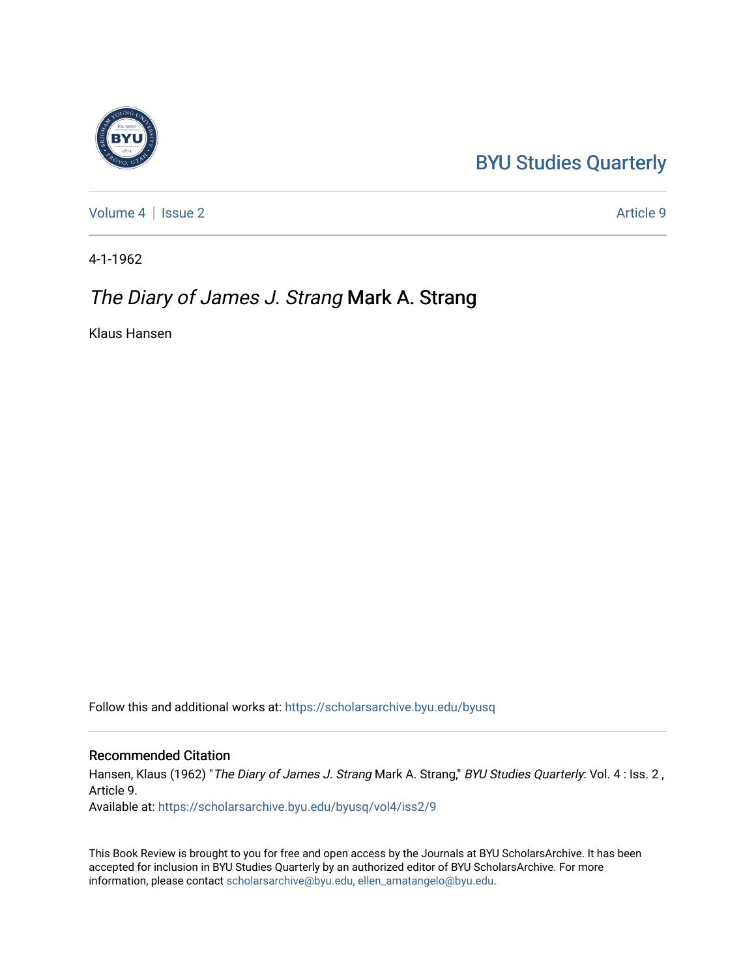## [BYU Studies Quarterly](https://scholarsarchive.byu.edu/byusq)

[Volume 4](https://scholarsarchive.byu.edu/byusq/vol4) | [Issue 2](https://scholarsarchive.byu.edu/byusq/vol4/iss2) Article 9

4-1-1962

### The Diary of James J. Strang Mark A. Strang

Klaus Hansen

Follow this and additional works at: [https://scholarsarchive.byu.edu/byusq](https://scholarsarchive.byu.edu/byusq?utm_source=scholarsarchive.byu.edu%2Fbyusq%2Fvol4%2Fiss2%2F9&utm_medium=PDF&utm_campaign=PDFCoverPages) 

#### Recommended Citation

Hansen, Klaus (1962) "The Diary of James J. Strang Mark A. Strang," BYU Studies Quarterly: Vol. 4 : Iss. 2, Article 9.

Available at: [https://scholarsarchive.byu.edu/byusq/vol4/iss2/9](https://scholarsarchive.byu.edu/byusq/vol4/iss2/9?utm_source=scholarsarchive.byu.edu%2Fbyusq%2Fvol4%2Fiss2%2F9&utm_medium=PDF&utm_campaign=PDFCoverPages) 

This Book Review is brought to you for free and open access by the Journals at BYU ScholarsArchive. It has been accepted for inclusion in BYU Studies Quarterly by an authorized editor of BYU ScholarsArchive. For more information, please contact [scholarsarchive@byu.edu, ellen\\_amatangelo@byu.edu.](mailto:scholarsarchive@byu.edu,%20ellen_amatangelo@byu.edu)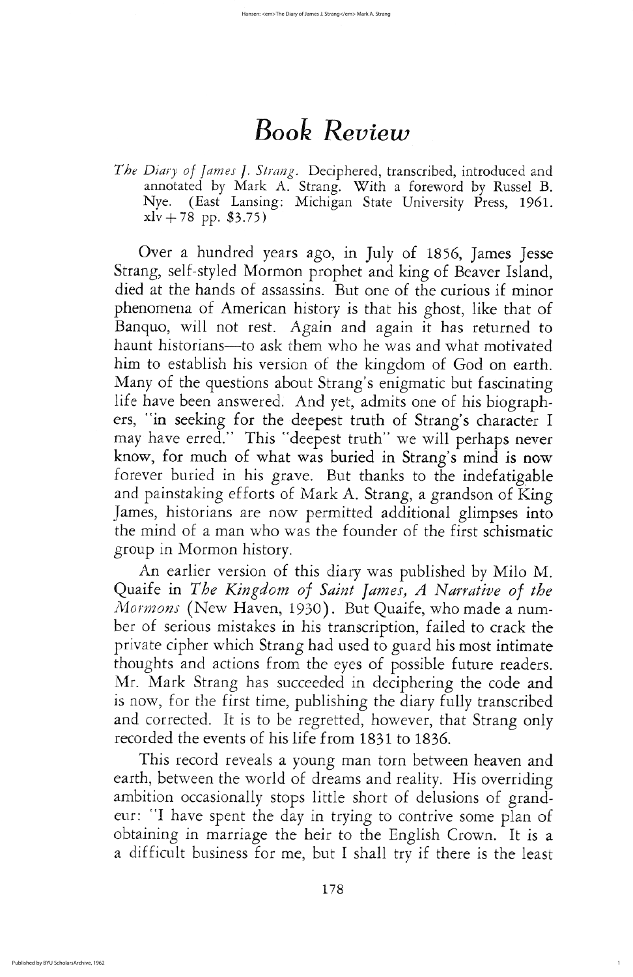Over a hundred years ago, in July of 1856, James Jesse Strang, self-styled Mormon prophet and king of Beaver Island, died at the hands of assassins. But one of the curious if minor phenomena of American history is that his ghost, like that of Banquo, will not rest. Again and again it has returned to haunt historians—to ask them who he was and what motivated him to establish his version of the kingdom of God on earth. Many of the questions about Strang's enigmatic but fascinating life have been answered. And yet, admits one of his biographers, "in seeking for the deepest truth of Strang's character I may have erred." This "deepest truth" we will perhaps never know, for much of what was buried in Strang's mind is now forever buried in his grave. But thanks to the indefatigable and painstaking efforts of Mark A. Strang, a grandson of King James, historians are now permitted additional glimpses into the mind of a man who was the founder of the first schismatic group in Mormon history. An earlier version of this diary was published by Milo M. Quaife in The Kingdom of Saint James, A Narrative of the Mormons (New Haven, 1930). But Quaife, who made a number of serious mistakes in his transcription, failed to crack the private cipher which strang had used to guard his most intimate thoughts and actions from the eyes of possible future readers Mr. Mark Strang has succeeded in deciphering the code and is now, for the first time, publishing the diary fully transcribed and corrected. It is to be regretted, however, that Strang only recorded the events of his life from 1831 to 1836

This record reveals a young man torn between heaven and earth, between the world of dreams and reality. His overriding ambition occasionally stops little short of delusions of grandeur: "I have spent the day in trying to contrive some plan of obtaining in marriage the heir to the English Crown. It is a a difficult business for me, but I shall try if there is the least

178

1

# **Book Review**

The Diary of James J. Strang. Deciphered, transcribed, introduced and annotated by Mark A. Strang. With a foreword by Russel B. Nye. (East Lansing: Michigan State University Press, 1961.  $xlv + 78$  pp. \$3.75)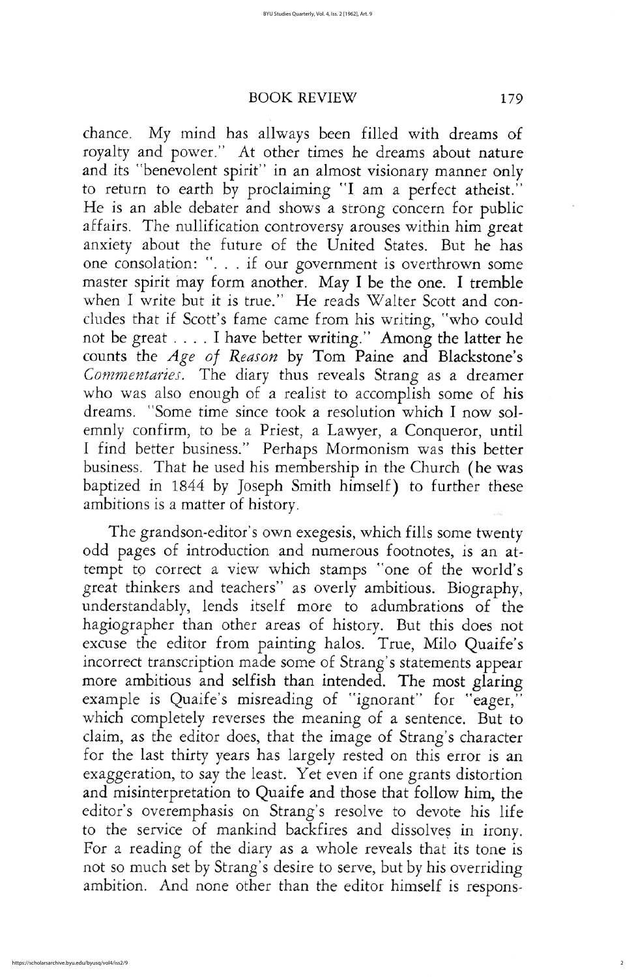## BOOK REVIEW 179

chance. My mind has allways been filled with dreams of royalty and power." At other times he dreams about nature and its "benevolent spirit" in an almost visionary manner only to return to earth by proclaiming "I am a perfect atheist he is an able debater and shows a strong concern for public affairs. The nullification controversy arouses within him great anxiety about the future of the United States. But he has one consolation: ". . . if our government is overthrown some master spirit may form another. May I be the one. I tremble when I write but it is true." He reads Walter Scott and concludes that if Scott's fame came from his writing, "who could not be great  $\dots$  I have better writing." Among the latter he counts the Age of Reason by Tom Paine and Blackstone's Commentaries. The diary thus reveals Strang as a dreamer who was also enough of a realist to accomplish some of his dreams. "Some time since took a resolution which I now solemnly confirm, to be a Priest, a Lawyer, a Conqueror, until I find better business." Perhaps Mormonism was this better business. That he used his membership in the Church (he was

baptized in 1844 by Joseph Smith himself) to further these ambitions is a matter of history

The grandson-editor's own exegesis, which fills some twenty odd pages of introduction and numerous footnotes, is an attempt to correct a view which stamps "one of the world's great thinkers and teachers" as overly ambitious. Biography, understandably, lends itself more to adumbrations of the hagiographer than other areas of history. But this does not excuse the editor from painting halos. True, Milo Quaife's incorrect transcription made some of Strang's statements appear more ambitious and selfish than intended. The most glaring example is Quaife's misreading of "ignorant" for "eager," which completely reverses the meaning of a sentence. But to claim, as the editor does, that the image of Strang's character for the last thirty years has largely rested on this error is an exaggeration, to say the least. Yet even if one grants distortion and misinterpretation to Quaife and those that follow him, the editor's overemphasis on Strang's resolve to devote his life to the service of mankind backfires and dissolves in irony. for a reading of the diary as a whole reveals that its tone is not so much set by Strang's desire to serve, but by his overriding ambition. And none other than the editor himself is respons-

2